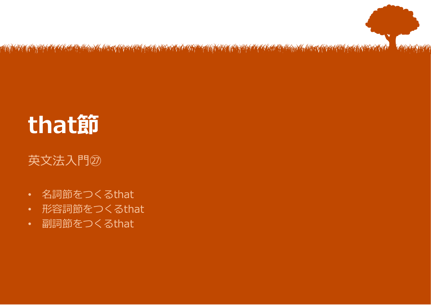

# **that節**

#### 英文法入門㉗

- 名詞節をつくるthat
- 形容詞節をつくるthat
- 副詞節をつくるthat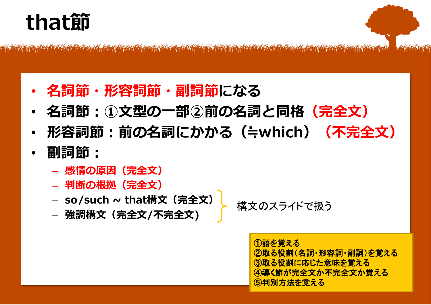### **that節**

<u> 1949 – 1949 Ann March (Ann 1949), production ann ann ann an 1958. Ann ann ann ann an 1958 ann an 1969 ann an</u>

- **名詞節・形容詞節・副詞節になる**
- **名詞節:①文型の一部②前の名詞と同格(完全文)**
- **形容詞節:前の名詞にかかる(≒which)(不完全文)**
- **副詞節:**
	- **感情の原因(完全文)**
	- **判断の根拠(完全文)**
	- **so/such ~ that構文(完全文)**
	- **強調構文(完全文/不完全文)**

構文のスライドで扱う

①語を覚える ②取る役割(名詞・形容詞・副詞)を覚える ③取る役割に応じた意味を覚える ④導く節が完全文か不完全文か覚える ⑤判別方法を覚える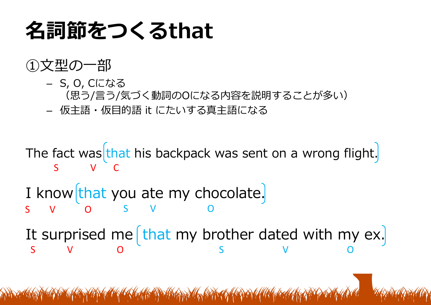### **名詞節をつくるthat**

#### ①文型の一部

- S, O, Cになる (思う/言う/気づく動詞のOになる内容を説明することが多い)
- 仮主語・仮目的語 it にたいする真主語になる

The fact was that his backpack was sent on a wrong flight. S V C

I know  $\left[\text{that you ate my chocolate}\right]$ S V O S V O

It surprised me  $\left[\frac{\text{that}}{\text{m}}\right]$  brother dated with my ex. S V O S V O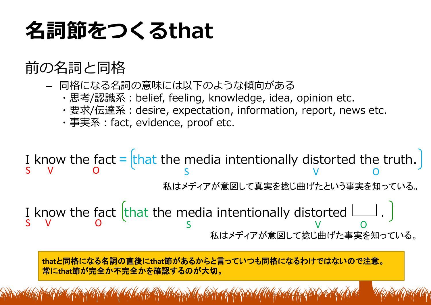## **名詞節をつくるthat**

### 前の名詞と同格

- 同格になる名詞の意味には以下のような傾向がある
	- ・思考/認識系:belief, feeling, knowledge, idea, opinion etc.
	- ・要求/伝達系:desire, expectation, information, report, news etc.
	- ・事実系:fact, evidence, proof etc.

I know the fact  $=$  that the media intentionally distorted the truth. S V O S V O = 私はメディアが意図して真実を捻じ曲げたという事実を知っている。

I know the fact that the media intentionally distorted  $\Box$ . S V O <sup>C</sup> S V O 私はメディアが意図して捻じ曲げた事実を知っている。

**that**と同格になる名詞の直後に**that**節があるからと言っていつも同格になるわけではないので注意。 常に**that**節が完全か不完全かを確認するのが大切。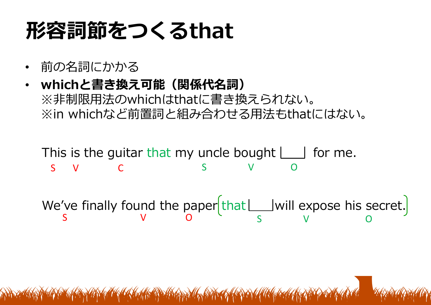## **形容詞節をつくるthat**

- 前の名詞にかかる
- **whichと書き換え可能(関係代名詞)** ※非制限用法のwhichはthatに書き換えられない。 ※in whichなど前置詞と組み合わせる用法もthatにはない。

This is the guitar that my uncle bought  $\Box$  for me. S V C S V O

We've finally found the paper  $\lvert \text{that} \lfloor$  will expose his secret. S V O S V O